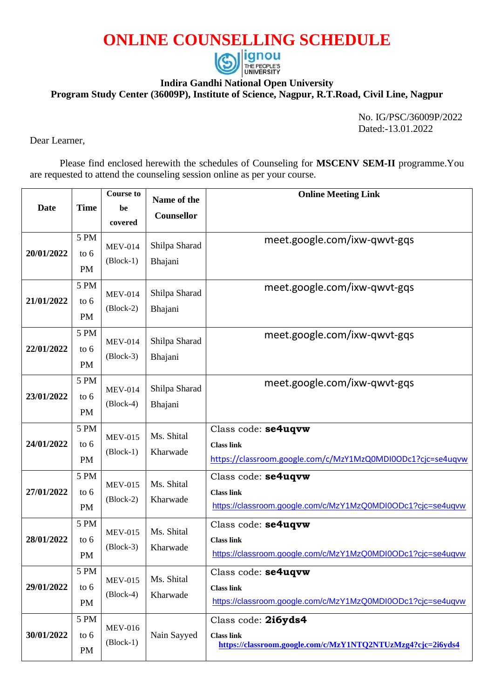## **ONLINE COUNSELLING SCHEDULE**



## **Indira Gandhi National Open University**

**Program Study Center (36009P), Institute of Science, Nagpur, R.T.Road, Civil Line, Nagpur** 

No. IG/PSC/36009P/2022 Dated:-13.01.2022

Dear Learner,

Please find enclosed herewith the schedules of Counseling for **MSCENV SEM-II** programme.You are requested to attend the counseling session online as per your course.

| <b>Date</b> | <b>Time</b>                 | <b>Course to</b><br>be<br>covered | Name of the<br><b>Counsellor</b> | <b>Online Meeting Link</b>                                                                              |
|-------------|-----------------------------|-----------------------------------|----------------------------------|---------------------------------------------------------------------------------------------------------|
| 20/01/2022  | 5 PM<br>to $6$<br><b>PM</b> | <b>MEV-014</b><br>$(Block-1)$     | Shilpa Sharad<br>Bhajani         | meet.google.com/ixw-qwvt-gqs                                                                            |
| 21/01/2022  | 5 PM<br>to 6<br><b>PM</b>   | <b>MEV-014</b><br>$(Block-2)$     | Shilpa Sharad<br>Bhajani         | meet.google.com/ixw-qwvt-gqs                                                                            |
| 22/01/2022  | 5 PM<br>to $6$<br><b>PM</b> | <b>MEV-014</b><br>$(Block-3)$     | Shilpa Sharad<br>Bhajani         | meet.google.com/ixw-qwvt-gqs                                                                            |
| 23/01/2022  | 5 PM<br>to $6$<br><b>PM</b> | <b>MEV-014</b><br>$(Block-4)$     | Shilpa Sharad<br>Bhajani         | meet.google.com/ixw-qwvt-gqs                                                                            |
| 24/01/2022  | 5 PM<br>to $6$<br><b>PM</b> | <b>MEV-015</b><br>$(Block-1)$     | Ms. Shital<br>Kharwade           | Class code: se4uqvw<br><b>Class link</b><br>https://classroom.google.com/c/MzY1MzQ0MDI0ODc1?cjc=se4uqvw |
| 27/01/2022  | 5 PM<br>to $6$<br><b>PM</b> | <b>MEV-015</b><br>$(Block-2)$     | Ms. Shital<br>Kharwade           | Class code: se4uqvw<br><b>Class link</b><br>https://classroom.google.com/c/MzY1MzQ0MDI0ODc1?cjc=se4uqvw |
| 28/01/2022  | 5 PM<br>to 6<br>PM          | <b>MEV-015</b><br>$(Block-3)$     | Ms. Shital<br>Kharwade           | Class code: se4uqvw<br><b>Class link</b><br>https://classroom.google.com/c/MzY1MzQ0MDI0ODc1?cjc=se4uqvw |
| 29/01/2022  | 5 PM<br>to 6<br><b>PM</b>   | <b>MEV-015</b><br>$(Block-4)$     | Ms. Shital<br>Kharwade           | Class code: se4uqvw<br><b>Class link</b><br>https://classroom.google.com/c/MzY1MzQ0MDI0ODc1?cjc=se4uqvw |
| 30/01/2022  | 5 PM<br>to 6<br><b>PM</b>   | <b>MEV-016</b><br>$(Block-1)$     | Nain Sayyed                      | Class code: 2i6yds4<br><b>Class link</b><br>https://classroom.google.com/c/MzY1NTQ2NTUzMzg4?cjc=2i6yds4 |